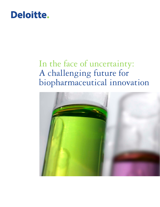# Deloitte.

# In the face of uncertainty: A challenging future for biopharmaceutical innovation

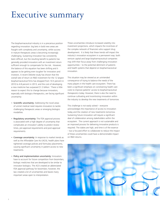# Executive summary

The biopharmaceutical industry is in a precarious position regarding innovation: big bets in bold new areas are fraught with complexity and uncertainty, while success in mature therapeutic areas is becoming increasingly challenging. Sustaining innovation has consistently been difficult, but the resulting benefit to patients has generally provided innovators with an investment return sufficient enough to compensate for the risk. However, the balance of this equation has been shifting and it appears to be getting even tougher for innovators and investors. A recent Deloitte study has shown that the overall rate of return on R&D investment for the 12 largest biopharmaceutical firms has dropped from 10.5 percent in 2010 to 4.8 percent in 2013, and the cost of developing a new medicine has surpassed \$1.3 billion.<sup>1</sup> There is little reason to expect this to change because innovators, especially with biologics therapeutics, are facing significant uncertainty:

- Scientific uncertainty: Addressing the novel areas of unmet medical need requires innovators to tackle challenging therapeutic areas or emerging biologics modalities.
- Regulatory uncertainty: The FDA approval process is associated with a high degree of uncertainty that complicates an innovator's ability to predict review times, pre-approval requirements and post-approval requirements.
- Coverage uncertainty: In response to market trends as well as the Affordable Care Act (ACA), health plans have tightened coverage policies and formulary placements, causing significant uncertainty in patient access to new treatments.
- Policy and implementation uncertainty: Innovators have to account for future competition from biosimilars, biologic medicines that are developed to be similar to innovator biologics. The ACA created an abbreviated FDA approval pathway for biosimilars; however, the law created a lot of uncertainties and leaves many important areas open to interpretation.

These uncertainties introduce increased volatility into investment projections, which impacts the incentives of the complex network of financiers who support drug development. It is likely that these trends will impact the industry's innovation ecosystem in a permanent way: both venture capital and large biopharmaceutical companies may shift their focus away from challenging innovation opportunities – to the potential detriment of patients and health systems that depend on biopharmaceutical innovation.

This situation may be viewed as an unintended consequence of trying to balance the needs of the many players in the health care ecosystem. There has been a significant emphasis on constraining health care costs to improve patients' access to biopharmaceutical therapeutics today. However, there is also the need to continue cultivating and incentivizing innovation within the industry to develop the new treatments of tomorrow.

This challenge is not easily solved – everyone acknowledges the importance of access to innovation today and the creation of new treatments tomorrow. Sustaining future innovation will require a significant deal of collaboration among stakeholders within the ecosystem. The current approach is not sustainable and an improved process for delivering innovative products is required. The stakes are high, and time is of the essence – but a focused effort to collaborate to reduce the impact of these uncertainties could have a demonstrable impact on R&D returns.

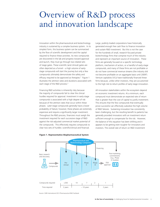## Overview of R&D process and innovation landscape

Innovation within the pharmaceutical and biotechnology industry is sustained by a complex business system. In its simplest form, this business system can be summarized by the flow of scientific development and the capital required to finance these activities. As new compounds are discovered in the lab and progress toward approval and launch, they must go through two related sets of stage gates. These scientific (and clinical) gates are often depicted as a funnel – a high volume of earlystage compounds will start the journey but only a few compounds ultimately demonstrate the safety and efficacy required to be approved as therapies.<sup>2</sup> Figure 1 illustrates the attrition rates and durations associated with each stage of the R&D process.<sup>3</sup>

Financing R&D activities is inherently risky because the majority of compounds fail to clear the clinical hurdles required for approval. Investment in early-stage compounds is associated with a high degree of risk because of the attrition rates that occur within these phases. Later-stage compounds generally have a lower probability of failure; however, these phases are extremely expensive and require a significantly larger investment. Throughout the R&D process, financiers must weigh the investment required for each successive stage of R&D against the risk-adjusted commercial market potential of the compounds. This effectively requires compounds to clear two sets of hurdles: scientific/clinical and financial.

Large, publicly-traded corporations have historically generated enough free cash flow to finance innovation and sustain R&D investment. But this is not the case for the hundreds of small, research-focused private biotechnology firms that comprise much of the industry and represent an important source of innovation. These firms are generally focused on a specific technology platform, mechanism of action, or a handful of early-stage compounds, and many of these firms are not profitable or do not have commercial revenue streams (the industry did not become profitable on an aggregate basis until 20094 ). Venture capitalists (VCs) have traditionally financed these firms because, unlike other investors, they are accustomed to the high risk-to-return profiles of early-stage innovation.

All innovation stakeholders within the ecosystem depend on economic investment returns. At a minimum, each compound must demonstrate an expected rate of return that is greater than the cost of capital to justify investment. This ensures that the few compounds that eventually prove successful can effectively subsidize the high volume of R&D failures. Sustaining innovation has consistently been challenging, but the resulting benefit to patients has generally provided innovators with an investment return sufficient enough to compensate for the risk. However, the balance of this equation has been shifting and it appears to be getting even tougher for innovators and investors. The overall rate of return on R&D investment



#### **Figure 1. Representative Biopharmaceutical System**

Source: CMR International 2012 Pharmaceutical R&D Factbook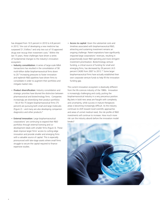has dropped from 10.5 percent in 2010 to 4.8 percent in 2013,<sup>5</sup> the cost of developing a new medicine has surpassed \$1.3 billion,<sup>6</sup> and only two out of 10 approved drugs ever recoup their investment costs.7 Within the last 15 years, these challenges have driven a series of fundamental changes to the industry's innovation ecosystem:

- Industry consolidation: A series of large-scale M&A transactions has resulted in the consolidation of 58 multi-billion dollar biopharmaceutical firms down to 20.8 Increasing pressures to foster innovation and replenish R&D pipelines have driven firms to consolidate in order to augment their portfolios and mitigate market risks.
- Product diversification: Industry consolidation and strategic priorities have blurred the distinction between pharmaceutical and biotechnology firms. Companies increasingly are diversifying their product portfolios – 56 of the 75 largest biopharmaceutical firms (75 percent) are pursuing both small and large molecules (Figure 2) – and many are also developing companion diagnostics and other products.9
- External innovation: Large biopharmaceutical corporations' are continuing to expand their R&D portfolios through external licensing and codevelopment deals with smaller firms (Figure 3). These deals improve larger firms' access to cutting-edge innovation and provide smaller and emerging firms with a valuable source of capital. This is especially pronounced with late-stage assets where small firms struggle to secure the capital required to finance expensive studies.

• Access to capital: Given the substantial costs and timelines associated with biopharmaceutical R&D, attracting and sustaining investment remains an ongoing challenge. Patent expirations have significantly impacted large corporations' revenues, resulting in proportionally lower R&D spending and more stringent investment prioritization. Biotechnology venture funding, a critical source of funding for small and emerging firms, has decreased by 29 percent (-6.5 percent CAGR) from 2007 to 2012.10 Some larger biopharmaceutical firms have actually established their own corporate venture funds to help fill the innovation funding gap.

The current innovation ecosystem is drastically different from the life sciences industry of the 1980s. Innovation is increasingly challenging and costly, putting the biopharmaceutical industry in a very precarious position. Big bets in bold new areas are fraught with complexity and uncertainty, while success in mature therapeutic areas is becoming increasingly difficult. As the industry continues to shift toward novel scientific approaches and areas of unmet medical need, the risk profile of R&D investments will continue to increase. How much more risk can the industry absorb before the innovation model breaks?

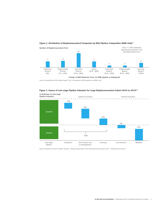

### Figure 2. Distribution of Biopharmaceutical Companies by R&D Pipeline Composition (NME Only)<sup>11</sup>

Source: EvaluatePharma R&D Pipeline Report; Top 75 companies by R&D pipeline size (NMEs only)



### **Figure 3. Source of Late-stage Pipeline Valuation for Large Biopharmaceutical Cohort (2010 to 2013)12**

Source: Deloitte UK Centre for Health Solutions, "Measuring the Return from Pharmaceutical Innovation 2013 – Weathering the Storm?"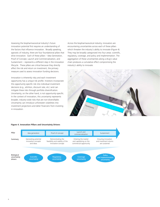Assessing the biopharmaceutical industry's future innovation potential first requires an understanding of the factors that influence innovation. Broadly speaking, agnostic of industry, there are four foundational pillars that drive innovation. Each of these pillars – Idea Generation, Proof of Concept, Launch and Commercialization, and Sustainment – represents a different step in the innovation lifecycle. These pillars are critical because they directly affect the risk and return on investment, the primary measure used to assess innovation funding decisions.

Innovation is inherently risky and each investment opportunity has a unique risk profile. Investors incorporate this opportunity-specific risk into individual investment decisions (e.g., attrition, discount rate, etc.) and can mitigate these risks through portfolio diversification. Uncertainty, on the other hand, is not opportunity-specific. In the context of innovation, this uncertainty represents broader, industry-wide risks that are non-diversifiable. Uncertainty can introduce unforeseen volatilities into investment projections and deter financiers from investing in innovation.

Across the biopharmaceutical industry, innovators are encountering uncertainties across each of these pillars which threaten the industry's ability to innovate (Figure 4). They may be broadly categorized into four areas: scientific, regulatory, coverage, and policy and implementation. The aggregation of these uncertainties along a drug's value chain produces a cumulative effect compromising the industry's ability to innovate.



#### **Figure 4. Innovation Pillars and Uncertainty Drivers**

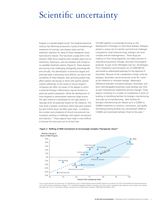# Scientific uncertainty

Progress is a double-edged sword. The biopharmaceutical industry has effectively produced a myriad of breakthrough treatments for primary care disease states and the treatment regimens for many of these therapeutic areas have become mature. This has driven a large shift in the industry's R&D focus towards more complex areas such as Alzheimers, Parkinsons, and rare diseases with limited or no available treatment options (Figure 5). These diseases are proving to be challenging biologically, physiologically and clinically. The identification of attractive targets and potential leads is becoming more difficult, but due to the complexity of these diseases, even promising assets may affect patient sub-groups or those with specific genetic markers differently. At the outset of clinical research, companies are often not aware of the degree to which a potential therapy's effectiveness may be limited to a particular patient population. While the development of more targeted or personalized medicines helps ensure the right medicine is developed for the right patient, it naturally limits the potential market for the medicine. This may result in greater uncertainty within discovery research but also further down the R&D value chain. In addition, the number and complexity of clinical trial protocols has increased, resulting in challenges with patient recruitment and retention.<sup>13</sup> These aspects have made it more difficult to forecast the time and cost of clinical trials.

The R&D pipeline is increasingly focusing on the development of biologics to treat these diseases. Biologics present a unique set of scientific and technical challenges. Compared to small molecule drugs, biologics are more complex and are heterogeneous. These drugs are made by or from living organisms, are highly sensitive to manufacturing process changes, and have immunogenic potential. As part of the Affordable Care Act, the Biologics Price Competition and Innovation Act of 2009 (BPCIA) sanctioned an abbreviated pathway for the approval of biosimilars. Because of the complexities of large molecule biologics, biosimilars cannot be proven to be the "same" as the reference or innovator biologic. Meaningful differences between innovative biologics, biosimilars, and even interchangeable biosimilars could develop over time as each manufacturer implements process changes. These aspects contribute to a number of complexities in terms of building or retrofitting facilities for biologics manufacturing and scale-up of manufacturing. New facilities for biologics manufacturing can require up to a \$200M to \$500M investment to construct, commission, and qualify (retrofitting existing facilities can cost between \$50M to \$100M) and necessitate between three to five years.<sup>14</sup>



### Figure 5. Shifting of R&D Investment to Increasingly Complex Therapeutic Areas<sup>15</sup>

Source: Nature Reviews Drug Discovery 10, 428-438 (June 2011); Parexel Biopharmaceutical R&D Statistical Sourcebook 2012/2013 (EvaluatePharma Worldwide Prescription and OTC Sales by Therapeutic Category; TTC, GrantPlan® Database); Deloitte Consulting LLP Analysis; Note: Complexity index based on mean number of procedures per patient (Ph I to IV); Y-axis reflects change in the percent of all R&D projects between 1990-2000 and 2000 to 2010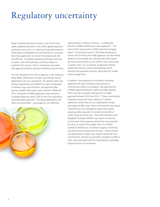# Regulatory uncertainty

Today's biopharmaceutical industry is one of the most highly regulated industries in the world; global regulatory authorities such as the U.S. Food and Drug Administration (FDA) spend considerable time and resources to scrutinize new drug applications to ensure that products are safe and effective. The global regulatory landscape continues to evolve, and while pathways are being created to accelerate this process, there is uncertainty associated with approval timelines and post-marketing commitments.

The time required by the FDA to approve a new molecular entity (NME; abbreviation includes new biologic license applications) can vary significantly. The specific safety and efficacy requirements are different for each combination of disease, drug, and indication, and approval often requires multiple FDA review cycles. Between 2009 and 2012, 50 percent of NME applications that received a Complete Response Letter (CLR) on their first submission were eventually approved.<sup>16</sup> Excluding applications that were not resubmitted – presumably for an ineffective



8

demonstration of safety or efficacy – a startling 96 percent of NMEs resubmissions were approved.17 The ratio of FDA review cycles to NME approvals averaged about 1.5 during this period,<sup>18</sup> effectively doubling the review time for every other NME approval, and the limited duration of this sample size indicates that these figures are not primarily driven by the need for new clinical trials or patient data. The uncertainty of approval timelines significantly impacts commercial planning, launch activities and projected revenues, particularly for smaller biotechnology firms.

In addition, the proportion of innovative medicines approved with post-marketing requirements or commitments (PMCs) is increasing. Fifty-eight percent of NMEs approved between 2004 and 2006 required PMCs, but this increased to 88 percent for NMEs approved between 2010 and 2012.<sup>19</sup> These commitments frequently require the drug's sponsor to conduct additional clinical trials and can significantly increase post-approval R&D costs. Other commitments may require comprehensive risk management plans that employ ongoing safety measures to monitor the benefits of certain drugs and their risks. These Risk Evaluation and Mitigation Strategies (REMS) may require the sponsor to train and certify physicians before they may prescribe the drug, to restrict their supply chain to a limited number of distributors, or perform ongoing monitoring of patients being treated with the drug. These activities can significantly increase costs, require substantial time commitments, and are not generally considered as R&D or other costs associated with the drug lifecycle, potentially reducing returns on investment.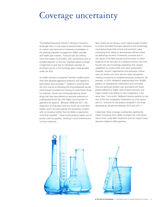### Coverage uncertainty

The biopharmaceutical industry is facing an insurance landscape that is in the midst of transformation. Pressures to control costs have led to increasing consolidation in the pharmacy benefits management (PBM), provider, and health plan markets. Financial risks are shifting more from payers to providers, with mechanisms such as bundled payment on the rise. Employer-based coverage is beginning to give way to individual coverage, as enrollment grows in the Exchange plans made possible under the ACA.

As health insurance companies' business models evolve, they have adopted aggressive positions with regards to prescription drug coverage.20 Evidence is growing that the ACA may be accelerating the long-established secular trend toward increased cost sharing for prescription drugs. For example, insurers are increasingly placing certain drugs that they have defined as specialty medicines in a designated fourth tier with higher out-of-pocket copayments for patients. Between 2008 and 2011, the proportion of drug plans with this fourth tier more than tripled, and in the same period, the proportion of plans with co-insurance (rather than set-dollar co-payments) more than doubled.21 These trends produce higher out-ofpocket costs for patients, resulting in more limited access to these medicines.

New medicines are facing a much higher burden of proof to receive favorable formulary placement and increasingly must demonstrate both clinical and economic value. Innovating firms' ability to demonstrate sufficient value (as defined by insurers) is inherently uncertain due to the nature of the R&D process and the extent to which evidence of the full value of a medicine evolves over time. Insurers also are increasingly expanding their analytic capabilities to conduct their own value assessments. However, insurers' expectations and evaluation criteria vary, can evolve over time, and are rarely transparent, creating uncertainty for biopharmaceutical companies. For example, in 2010, Wellpoint analyzed data from 26,000 patients on osteoporosis medications and concluded that one particular product was associated with lower patient adherence, higher rates of bone fractures, and higher overall costs relative to two comparators in the same class.<sup>22</sup> As a result, Wellpoint requires patients to use one of the two comparator medications as a first option and U.S. revenues for the product analyzed in the study decreased by 30 percent between 2010 and 2011.<sup>23</sup>

Collectively, these coverage uncertainties significantly impair innovating firms' ability to project the commercial returns from costly R&D investment and can impact future decisions related to R&D pipelines.

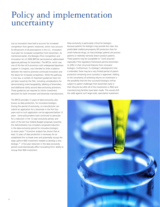## Policy and implementation uncertainty

Just as innovators have had to account for increased competition from generic medicines, which now account for 84 percent of all prescriptions in the U.S., innovators must plan for increased competition from biosimilars. As mentioned earlier, the Biologics Price Competition and Innovation Act of 2009 (BPCIA) sanctioned an abbreviated approval pathway for biosimilars. The BPCIA, which was one of the few ACA provisions with widespread bipartisan support in Congress, was intended to strike a balance between the need to promote continued innovation and the desire for increased competition. While the pathway is now law, a number of important guidances have not yet been issued by the FDA, including considerations for demonstrating interchangeability, labeling of biosimilars, and additional clarity around data exclusivity provisions. These guidances are required to inform investment decisions for both innovator and biosimilar manufacturers.

The BPCIA provides 12 years of data exclusivity, also known as data protection, for innovative biologics. During this period of exclusivity, no manufacturer can submit an application for a biosimilar in the first four years and no such application can be approved before 12 years. Some policymakers have continued to advocate for a reduction in the 12-year exclusivity period, and each of the last four Federal Budget proposals issued by the Administration has included a proposed reduction in the data exclusivity period for innovative biologics to seven years.<sup>24</sup> Economic analysis has shown that at least 12 years of data protection is necessary for an established firm to break even and potentially recoup the large upfront R&D investment needed to develop a new biologic.25 A five-year reduction in the data exclusivity period could dramatically affect innovating firms' ability to recoup their R&D investment.

Data exclusivity is particularly critical for biologics because patents for biologics may provide less clear, less predictable intellectual property (IP) protection than for small molecule drugs, as many biologic patents are process patents or relatively narrowly drawn product patents. These patents may be susceptible to "work-arounds," especially if the regulatory framework permits biosimilars to differ in their structural features from innovator biologics. Furthermore, if a biologic's development time is extended, there may be a very limited period of patent protection remaining once a product is approved. Adding to the uncertainty of achieving returns on investment is the possibility that the few successful biologics will be subject to patent challenges from biosimilars early in their lifecycle but after all of the investments in R&D and manufacturing facilities have been made. This would shift the odds against such large-scale, speculative investment.

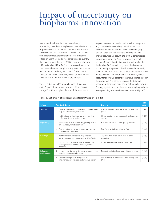## Impact of uncertainty on biopharma innovation

As discussed, industry dynamics have changed substantially over time, multiplying uncertainties faced by biopharmaceutical companies. These uncertainties can adversely affect the investment economics associated with biopharmaceutical innovation. To illustrate this effect, an analytical model was constructed to quantify the impact of uncertainty on R&D internal rate of return (IRR). A baseline IRR of 14.8 percent was calculated for a representative new biological entity based upon recent publications and industry benchmarks.<sup>26</sup> The potential impact of individual uncertainty drivers on R&D IRR was analyzed and is summarized in Figure 6 below.

The net reduction in IRR ranges between 0.6 percent and 1.9 percent for each of these uncertainty drivers – a significant impact given the size of the investment required to research, develop and launch a new product (e.g., over one billion dollars). It is also important to evaluate these impacts relative to the underlying cost of capital and not solely the baseline IRR. The analysis assumed a discount rate of 10.5 percent (large biopharmaceutical firms' cost of capital is generally between 8 percent and 13 percent), which implies that the baseline R&D scenario only clears the investment hurdle rate by 4.3 percent. This illustrates the sensitivity of financial returns against these uncertainties – the mean IRR reduction of these examples is 1.3 percent, which accounts for over 30 percent of the value created through the investment (1.3 percent/4.3percent). But more importantly, these uncertainties are not mutually exclusive. The aggregated impact of these same examples produces a compounding effect on investment returns (Figure 7).

| Category                     |                | <b>Uncertainty Driver</b>                                                                                 | <b>Example</b>                                                 | <b>IRR</b><br>Impact |
|------------------------------|----------------|-----------------------------------------------------------------------------------------------------------|----------------------------------------------------------------|----------------------|
| <b>Scientific</b>            | $\overline{A}$ | Increased complexity of therapeutic or disease areas<br>may reduce probability of success                 | Phase III attrition rate increased by 10 percentage<br>points  | $(1.3\%)$            |
|                              | B              | Inability to generate clinical trial drug may drive<br>unforeseen delays in study duration                | Clinical duration of late-stage study prolonged by<br>one year | $(1.3\%)$            |
| Regulatory                   | C              | Additional FDA review cycles may prolong review<br>time and delay time to approval                        | FDA approval and launch delayed by one year                    | $(1.0\%)$            |
|                              | D              | Post-marketing requirements may require significant<br>post-approval investment                           | Two Phase IV studies required as PMCs                          | $(1.2\%)$            |
| Coverage                     | E              | Tightening formulary policies may constrain<br>customer access and reduce commercial potential            | 20% reduction in forecasted peak revenue<br>projections        | (1.7%)               |
|                              | F              | Insurer focus on comparative effectiveness may<br>prolong formulary approval and delay market<br>adoption | Time to peak revenue delayed by two years                      | $(1.9\%)$            |
| Policy and<br>Implementation | G              | Unexpected reduction in data exclusivity period may<br>expedite biosimilar market entry                   | Exclusivity period reduced from 12 to seven years              | $(1.3\%)$            |
|                              | H              | Unexpected/unplanned designation of<br>interchangeability may accelerate revenue erosion                  | Post-exclusivity revenue erosion increased by 20%<br>(YoY)     | $(0.6\%)$            |

#### **Figure 6. Net Impact of Individual Uncertainty Drivers on R&D IRR**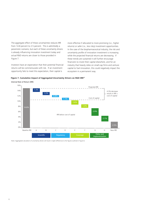The aggregate effect of these uncertainties reduces IRR from 14.8 percent to 2.5 percent. This is admittedly a pessimistic scenario, but each of these uncertainty drivers is already influencing innovation investment today and actual R&D returns are closer to those provided in Figure 7.

Investors have an expectation that their potential financial returns will be commensurate with risk. If an investment opportunity fails to meet this expectation, their capital is

more effective if allocated to more promising (i.e., higher returns) or safer (i.e., less risky) investment opportunities. In the case of the biopharmaceutical industry, the risk and uncertainty profile of innovation investment is increasing while the projected financial returns are decreasing. If these trends are sustained it will further encourage financiers to invest their capital elsewhere, and for an industry that heavily relies on small-cap firms and venture capital to fuel innovation, this could negatively impact the ecosystem in a permanent way.



Internal Rate of Return (IRR)



Note: Aggregated calculation of uncertainty drivers will result in slight differences to the figures outlined in Figure 6.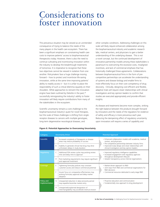### Considerations to foster innovation

This precarious situation may be viewed as an unintended consequence of trying to balance the needs of the many players in the health care ecosystem. There has been a significant emphasis on constraining health care costs to improve patients' access to biopharmaceutical therapeutics today. However, there is also the need to continue cultivating and incentivizing innovation within the industry to develop the breakthrough treatments of tomorrow. It is imperative to recognize that these two objectives cannot be viewed in isolation from one another. Policymakers face a huge challenge moving forward – how to protect and incentivize life-saving innovation, while at the same time improving patients' ability to readily access it  $-$  but it is unfair to place the responsibility of such a critical dilemma squarely on their shoulders. While approaches to reinvent the innovation engine have been outlined by Deloitte in the past,<sup>28</sup> successfully reinvigorating the industry's ability to foster innovation will likely require contributions from many of the stakeholders in the ecosystem.

Scientific uncertainty remains a core challenge to the biopharmaceutical industry's quest for novel therapies, but the scale of these challenges is shifting from singlereceptor diseases to cancers with multiple genotypes, long-term degenerative neurological diseases, and

other complex conditions. Addressing challenges on this scale will likely require enhanced collaboration among the biopharmaceutical industry and academic research labs, medical centers, and physicians to gain a better understanding of the underlying disease. This is not a novel concept, but the continued development of innovative partnership models among these stakeholders is paramount to overcoming the excessive costs, misaligned incentives, and lack of commercial emphasis that has historically challenged these agreements. Collaborations between biopharmaceutical firms in the form of precompetitive partnerships can accelerate the understanding of systems and disease biology and enable firms to more effectively focus on their core competency of drug discovery. Clinically, designing cost-efficient and flexible, adaptive trials will require closer relationships with clinical investigators and key opinion leaders to confirm that studies are executed appropriately and provide efficient insights.

As disease and treatments become more complex, striking the right balance between the products brought forward by innovators and the needs of the regulators for evidence of safety and efficacy is more precarious each year. Reducing the dampening effect of regulatory uncertainty upon innovators will require a series of capability and

| Category                     | <b>Uncertainty Driver</b> |                                                                                                           | <b>Potential Approach</b> |                                                                                                                                                                                                                                                       |
|------------------------------|---------------------------|-----------------------------------------------------------------------------------------------------------|---------------------------|-------------------------------------------------------------------------------------------------------------------------------------------------------------------------------------------------------------------------------------------------------|
| <b>Scientific</b>            | Α                         | Increased complexity of therapeutic or disease<br>areas may reduce probability of success                 |                           | • Enhanced collaboration models with academia, medical<br>centers, and physicians<br>• Pre-competitive partnerships between industry firms<br>• Improved study design and closer relationships with<br>clinical investigators and key opinion leaders |
|                              | B                         | Inability to generate clinical trial drug may drive<br>unforeseen delays in study duration                |                           |                                                                                                                                                                                                                                                       |
| Regulatory                   | C                         | Additional FDA review cycles may prolong review<br>time and delay time to approval                        |                           | • Improved regulatory intelligence capabilities<br>• Increased engagement with regulatory agencies<br>throughout development lifecycle<br>• Greater transparency across internal organizations                                                        |
|                              | D                         | Post-marketing requirements may require significant<br>post-approval investment                           |                           |                                                                                                                                                                                                                                                       |
| Coverage                     | E                         | Tightening formulary policies may constrain<br>customer access and reduce commercial potential            |                           | • Market-driven approach to R&D<br>• Joint input from R&D and commercial organizations for<br>R&D decisions                                                                                                                                           |
|                              | F                         | Insurer focus on comparative effectiveness may<br>prolong formulary approval and delay market<br>adoption |                           | • Commercial resources dedicated to early-stage R&D                                                                                                                                                                                                   |
| Policy and<br>Implementation | G                         | Unexpected reduction in data exclusivity period<br>may expedite biosimilar market entry                   |                           | • Proactive education and communication<br>• Fundamentally new approach to drug development                                                                                                                                                           |
|                              | H                         | Unexpected/unplanned designation of<br>interchangeability may accelerate revenue erosion                  |                           |                                                                                                                                                                                                                                                       |

#### **Figure 8. Potential Approaches to Overcoming Uncertainty**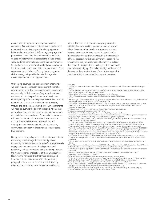process-related improvements. Biopharmaceutical companies' Regulatory Affairs departments can become more proficient at detecting and analyzing signals to better understand potential shifts in regulatory agencies' perspectives. Innovating firms will need to proactively engage regulatory authorities regarding the use of realworld evidence from trial populations and bioinformatics to translate clinical phase safety and efficacy signals into the likely effect in larger populations before launch. These actions can be critical to confirming that a program's clinical strategy will provide the data that agencies specifically require for the targeted label.

Overcoming coverage and reimbursement uncertainty will likely require the industry to supplement scientific advancements with stronger market insights to generate commercially viable innovation. Early-stage investment decisions, at both the portfolio and asset level, may require joint input from a company's R&D and commercial departments. The control of decision rights will vary through the development lifecycle, but R&D departments will need to leverage the body of collective insights that are available (e.g., scientific, commercial, reimbursement, etc.) to inform these decisions. Commercial departments will need to allocate both investments and resources to drive these activities on an ongoing basis, and these groups will need to identify how to effectively communicate and convey these insights to early-stage R&D decisions.

Finally, overcoming policy and health care implementation uncertainty is a challenge that is not easily solved. Innovating firms can make concerted efforts to proactively engage and communicate with policymakers and regulators, and, as appropriate, educate these parties on the macroeconomic implications of these uncertainties. However, the harsh reality is that these actions, and to a lesser extent, those described in the preceding paragraphs, likely need to be accompanied by many other actions in order to have a measurable effect on

returns. The time, cost, risk and complexity associated with biopharmaceutical innovation has reached a point where the current drug development process may not be sustainable over the longer term. It is possible that the most attractive solution may require a fundamentally different approach for delivering innovative products. An evaluation of the potentially viable alternatives is outside the scope of this paper, but a challenge of this magnitude cannot be taken lightly. The stakes are high, and time is of the essence, because the future of the biopharmaceutical industry's ability to innovate effectively is in question.

#### **Endnotes**

- Deloitte UK Centre for Health Solutions, "Measuring the Return from Pharmaceutical Innovation 2013 Weathering the Storm?
- <sup>2</sup> Deloitte Consulting LLP, "Avoiding No Man's Land Potential unintended consequences of follow-on biologics," 2009
- <sup>3</sup> CMR International 2012 Pharmaceutical R&D Factbook Biotech 2009, "Life Sciences: Navigating the Sea Change," Burrill & Company
- Ibid. 1; Reflects a cohort of the twelve largest biopharmaceutical firms by R&D spending
- $6$  Ibid.
- <sup>7</sup> J.A. Vernon, J.H. Golec, and J.A. DiMasi, "Drug Development Costs When Financial Risk is Measured Using the Fama-French Three-Factor Model," Health Economics 2010; 19(8): 1002-1005
- <sup>8</sup> Datamonitor, "Big Pharma Mega-Mergers 1995–2014"; Factset Mergers; Deloitte Consulting LLP Analysis; Note: Includes historical M&A deals above \$2.5 billion (excludes several deals for generic firms) for the 20 largest firms by market capitalization (Nov-2013)
- <sup>9</sup> EvaluatePharma R&D Pipeline Report; Top 75 companies by R&D pipeline size (NMEs only)
- <sup>10</sup> National Venture Capital Association; MoneyTree™ Report
- <sup>11</sup> EvaluatePharma R&D Pipeline Report; Top 75 companies by R&D pipeline size (NMEs only)
- <sup>12</sup> Ibid. 1; Cohort includes twelve largest biopharmaceutical firms by R&D spending; Valuation based upon consensus analyst<br>projections of peak sales for all late-stage compounds in cohort's global R&D portfolio
- <sup>13</sup> K. A. Getz, R. A. Campo, and K.I. Kaitin, "Variability in Protocol Design Complexity by Phase and Therapeutic Area," Drug Information Journal, 2011 45(4): 413-420.
- <sup>14</sup> H. Grabowski, "Follow-On Biologics: Data Exclusivity and the Balance Between Innovation and Competition," Nature Reviews Drug Discovery 7, 479-488; A. McCook, "Manufacturing on a Grand Scale," The Scientist, February 14, 2005; "Understanding Biologic Medicines from the Cancer Patient Perspective," American Cancer Society, January 2013
- <sup>15</sup> Nature Reviews Drug Discovery 10, 428-438 (June 2011); Parexel Biopharmaceutical R&D Statistical Sourcebook 2012/2013 (EvaluatePharma Worldwide Prescription and OTC Sales by Therapeutic Category; TTC, GrantPlan® Database); Deloitte<br>Consulting LLP Analysis; Note: Complexity index based on mean number of procedures per patient (Ph I to IV); change in the percent of all R&D projects between 1990-2000 and 2000 to 2010
- <sup>16</sup> Datamonitor Healthcare Report, "Complete Response Letter Trends and Influence on Approval Delays," 2013; Deloitte Consulting LLP Analysis; Note: excludes 13 NME resubmissions that remained open (e.g. no FDA decision) at the time of publication
- <sup>17</sup> Ibid. 14; Note: figures increase to 66% and 98%, respectively, if analysis expanded to include all New Drug Applications (NDAs)
- <sup>18</sup> Parexel Biopharmaceutical Statistical Sourcebook 2012/2013 (Parexel Consulting, Page 300); Deloitte Consulting LLP Analysis <sup>19</sup> FDA Postmarketing Requirements and Commitments Database; Deloitte Consulting LLP Analysis
- 20 Deloitte University Press, "Big Pharma's Market Access Mission," 2013 (Survey of 236 executives from large and mid-sized companies)

- <sup>22</sup> Kaiser Health News Daily Report, 25-Jun-2010
- <sup>23</sup> Company Annual Report and 10-K; Note: revenue reduction driven by multiple factors
- <sup>24</sup> "Fiscal Year 2014 Budget of the U.S. Government"; "Fiscal Year 2013 Budget of the U.S. Government"; "Fiscal Year 2012 Budget of the U.S. Government"; United States Office of Management and Budget (www.whitehouse.gov)
	-
- <sup>25</sup> H. Grabowski, et al., "Data Exclusivity for Biologics," Nature Reviews Drug Discovery 2011(10):15.<br><sup>26</sup> DiMasi J. and Grabowski H. "The Cost of Biopharmaceutical R&D: Is Biotech Different?", 2007; Grabowski, H. "Follo Biologics: data exclusivity and the balance between innovation and competition", 2008
- <sup>27</sup> Note: Aggregated calculation of uncertainty drivers will result in slight differences to the figures outlined in Figure 6 <sup>28</sup> Deloitte Consulting LLP, "Reinventing Innovation in Large Pharma," 2008.
- 

<sup>&</sup>lt;sup>21</sup> Pharmacy Benefit Management Institute, "2011-2012 Prescription Drug Benefit Cost and Plan Design Report'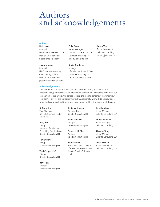### Authors and acknowledgements

### **Authors**

### Neil Lesser Principal Life Sciences & Health Care Deloitte Consulting LLP nlesser@deloitte.com

#### Jacques Mulder

Principal Life Sciences Consulting Chief Strategy Officer Deloitte Consulting LLP jacqmulder@deloitte.com

#### **Acknowledgements**

#### Colin Terry

Senior Manager Life Sciences & Health Care Deloitte Consulting LLP coterry@deloitte.com

Kevin Dondarski Manager Life Sciences & Health Care Deloitte Consulting LLP kdondarski@deloitte.com

#### James Wu

Senior Consultant Deloitte Consulting LLP jamwu@deloitte.com

The authors wish to thank the several executives and thought leaders in the biotechnology, pharmaceutical, and regulatory arenas who we interviewed during our preparation of this article. We agreed to keep the specific content of their interviews confidential, but we are no less in their debt. Additionally, we wish to acknowledge several colleagues within Deloitte who have supported the development of this paper:

R. Terry Hisey Vice Chairman U.S. Life Sciences Leader Deloitte LLP

Greg Reh

Principal National Life Sciences Consulting Practice Leader Deloitte Consulting LLP

Sanjay Behl Principal

Deloitte Consulting LLP

Terri Cooper, PhD Principal Deloitte Consulting LLP

Barri Falk Director Deloitte Consulting LLP Benjamin Jonash Principal, Doblin Deloitte Consulting LLP

Ralph Marcello Principal Deloitte Consulting LLP

Cameron McClearn Principal Deloitte Consulting LLP

Pete Mooney Global Managing Director Life Sciences & Health Care Deloitte Touche Tohmatsu Limited

Jonathan Fox Senior Manager Deloitte Consulting LLP

Robert Kennedy Senior Manager Deloitte Consulting LLP

Thomas Yang Senior Manager Deloitte Consulting LLP

Philip Mishkin Senior Consultant Deloitte Consulting LLP